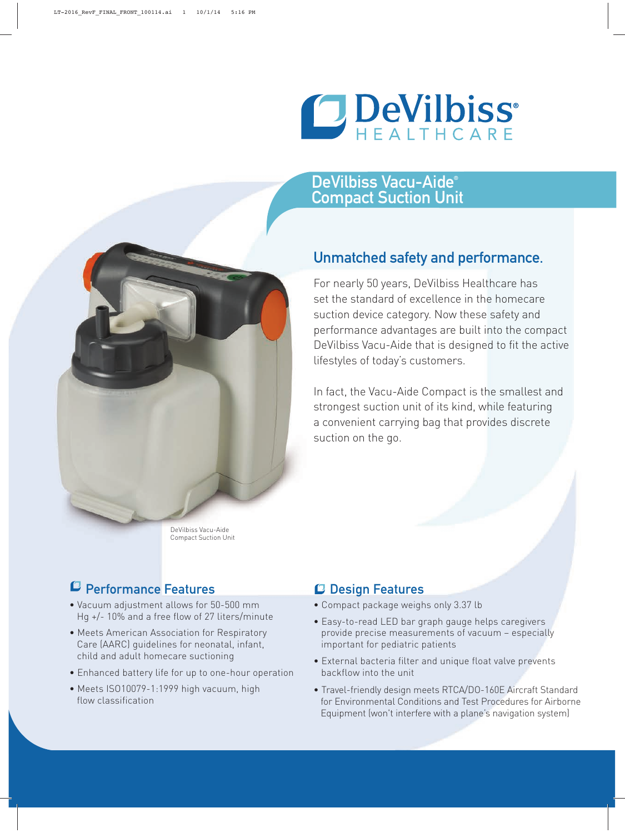



#### DeVilbiss Vacu-Aide Compact Suction Unit

# DeVilbiss Vacu-Aide® Compact Suction Unit

# Unmatched safety and performance.

For nearly 50 years, DeVilbiss Healthcare has set the standard of excellence in the homecare suction device category. Now these safety and performance advantages are built into the compact DeVilbiss Vacu-Aide that is designed to fit the active lifestyles of today's customers.

In fact, the Vacu-Aide Compact is the smallest and strongest suction unit of its kind, while featuring a convenient carrying bag that provides discrete suction on the go.

# Performance Features

- Vacuum adjustment allows for 50-500 mm Hg +/- 10% and a free flow of 27 liters/minute
- Meets American Association for Respiratory Care (AARC) guidelines for neonatal, infant, child and adult homecare suctioning
- Enhanced battery life for up to one-hour operation
- Meets ISO10079-1:1999 high vacuum, high flow classification

## *C* Design Features

- Compact package weighs only 3.37 lb
- Easy-to-read LED bar graph gauge helps caregivers provide precise measurements of vacuum – especially important for pediatric patients
- External bacteria filter and unique float valve prevents backflow into the unit
- Travel-friendly design meets RTCA/DO-160E Aircraft Standard for Environmental Conditions and Test Procedures for Airborne Equipment (won't interfere with a plane's navigation system)